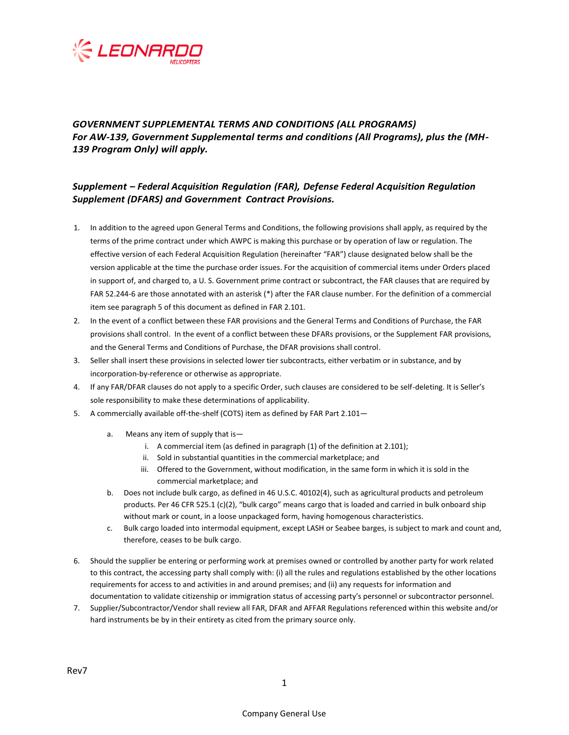

## *GOVERNMENT SUPPLEMENTAL TERMS AND CONDITIONS (ALL PROGRAMS) For AW-139, Government Supplemental terms and conditions (All Programs), plus the (MH-139 Program Only) will apply.*

## *Supplement – Federal Acquisition Regulation (FAR), Defense Federal Acquisition Regulation Supplement (DFARS) and Government Contract Provisions.*

- 1. In addition to the agreed upon General Terms and Conditions, the following provisions shall apply, as required by the terms of the prime contract under which AWPC is making this purchase or by operation of law or regulation. The effective version of each Federal Acquisition Regulation (hereinafter "FAR") clause designated below shall be the version applicable at the time the purchase order issues. For the acquisition of commercial items under Orders placed in support of, and charged to, a U. S. Government prime contract or subcontract, the FAR clauses that are required by FAR 52.244-6 are those annotated with an asterisk (\*) after the FAR clause number. For the definition of a commercial item see paragraph 5 of this document as defined in FAR 2.101.
- 2. In the event of a conflict between these FAR provisions and the General Terms and Conditions of Purchase, the FAR provisions shall control. In the event of a conflict between these DFARs provisions, or the Supplement FAR provisions, and the General Terms and Conditions of Purchase, the DFAR provisions shall control.
- 3. Seller shall insert these provisions in selected lower tier subcontracts, either verbatim or in substance, and by incorporation-by-reference or otherwise as appropriate.
- 4. If any FAR/DFAR clauses do not apply to a specific Order, such clauses are considered to be self-deleting. It is Seller's sole responsibility to make these determinations of applicability.
- 5. A commercially available off-the-shelf (COTS) item as defined by FAR Part 2.101
	- a. Means any item of supply that is
		- i. A commercial item (as defined in paragraph (1) of the definition at 2.101);
		- ii. Sold in substantial quantities in the commercial marketplace; and
		- iii. Offered to the Government, without modification, in the same form in which it is sold in the commercial marketplace; and
	- b. Does not include bulk cargo, as defined in 46 U.S.C. 40102(4), such as agricultural products and petroleum products. Per 46 CFR 525.1 (c)(2), "bulk cargo" means cargo that is loaded and carried in bulk onboard ship without mark or count, in a loose unpackaged form, having homogenous characteristics.
	- c. Bulk cargo loaded into intermodal equipment, except LASH or Seabee barges, is subject to mark and count and, therefore, ceases to be bulk cargo.
- 6. Should the supplier be entering or performing work at premises owned or controlled by another party for work related to this contract, the accessing party shall comply with: (i) all the rules and regulations established by the other locations requirements for access to and activities in and around premises; and (ii) any requests for information and documentation to validate citizenship or immigration status of accessing party's personnel or subcontractor personnel.
- 7. Supplier/Subcontractor/Vendor shall review all FAR, DFAR and AFFAR Regulations referenced within this website and/or hard instruments be by in their entirety as cited from the primary source only.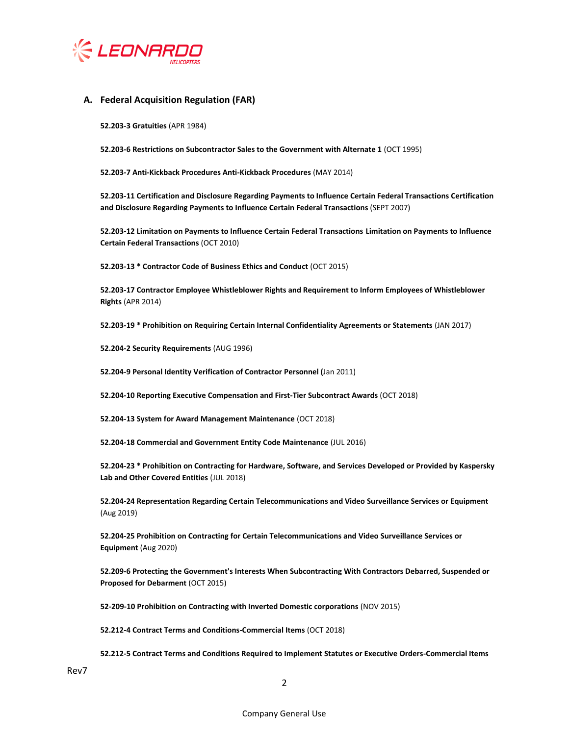

## **A. Federal Acquisition Regulation (FAR)**

**52.203-3 Gratuities** (APR 1984)

**52.203-6 Restrictions on Subcontractor Sales to the Government with Alternate 1** (OCT 1995)

**52.203-7 Anti-Kickback Procedures Anti-Kickback Procedures** (MAY 2014)

**52.203-11 Certification and Disclosure Regarding Payments to Influence Certain Federal Transactions Certification and Disclosure Regarding Payments to Influence Certain Federal Transactions** (SEPT 2007)

**52.203-12 Limitation on Payments to Influence Certain Federal Transactions Limitation on Payments to Influence Certain Federal Transactions** (OCT 2010)

**52.203-13 \* Contractor Code of Business Ethics and Conduct** (OCT 2015)

**52.203-17 Contractor Employee Whistleblower Rights and Requirement to Inform Employees of Whistleblower Rights** (APR 2014)

**52.203-19 \* Prohibition on Requiring Certain Internal Confidentiality Agreements or Statements** (JAN 2017)

**52.204-2 Security Requirements** (AUG 1996)

**52.204-9 Personal Identity Verification of Contractor Personnel (**Jan 2011)

**52.204-10 Reporting Executive Compensation and First-Tier Subcontract Awards** (OCT 2018)

**52.204-13 System for Award Management Maintenance** (OCT 2018)

**52.204-18 Commercial and Government Entity Code Maintenance** (JUL 2016)

**52.204-23 \* Prohibition on Contracting for Hardware, Software, and Services Developed or Provided by Kaspersky Lab and Other Covered Entities** (JUL 2018)

**52.204-24 Representation Regarding Certain Telecommunications and Video Surveillance Services or Equipment**  (Aug 2019)

**52.204-25 Prohibition on Contracting for Certain Telecommunications and Video Surveillance Services or Equipment** (Aug 2020)

**52.209-6 Protecting the Government's Interests When Subcontracting With Contractors Debarred, Suspended or Proposed for Debarment** (OCT 2015)

**52-209-10 Prohibition on Contracting with Inverted Domestic corporations** (NOV 2015)

**52.212-4 Contract Terms and Conditions-Commercial Items** (OCT 2018)

**52.212-5 Contract Terms and Conditions Required to Implement Statutes or Executive Orders-Commercial Items**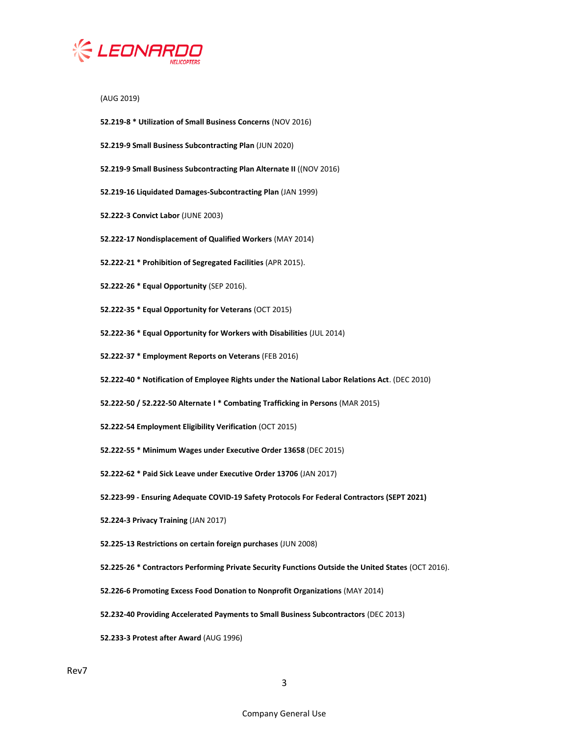

(AUG 2019)

- **52.219-8 \* Utilization of Small Business Concerns** (NOV 2016)
- **52.219-9 Small Business Subcontracting Plan** (JUN 2020)
- **52.219-9 Small Business Subcontracting Plan Alternate II** ((NOV 2016)
- **52.219-16 Liquidated Damages-Subcontracting Plan** (JAN 1999)
- **52.222-3 Convict Labor** (JUNE 2003)
- **52.222-17 Nondisplacement of Qualified Workers** (MAY 2014)
- **52.222-21 \* Prohibition of Segregated Facilities** (APR 2015).
- **52.222-26 \* Equal Opportunity** (SEP 2016).
- **52.222-35 \* Equal Opportunity for Veterans** (OCT 2015)
- **52.222-36 \* Equal Opportunity for Workers with Disabilities** (JUL 2014)
- **52.222-37 \* Employment Reports on Veterans** (FEB 2016)
- **52.222-40 \* Notification of Employee Rights under the National Labor Relations Act**. (DEC 2010)
- **52.222-50 / 52.222-50 Alternate I \* Combating Trafficking in Persons** (MAR 2015)
- **52.222-54 Employment Eligibility Verification** (OCT 2015)
- **52.222-55 \* Minimum Wages under Executive Order 13658** (DEC 2015)
- **52.222-62 \* Paid Sick Leave under Executive Order 13706** (JAN 2017)
- **52.223-99 - Ensuring Adequate COVID-19 Safety Protocols For Federal Contractors (SEPT 2021)**
- **52.224-3 Privacy Training** (JAN 2017)
- **52.225-13 Restrictions on certain foreign purchases** (JUN 2008)
- **52.225-26 \* Contractors Performing Private Security Functions Outside the United States** (OCT 2016).
- **52.226-6 Promoting Excess Food Donation to Nonprofit Organizations** (MAY 2014)
- **52.232-40 Providing Accelerated Payments to Small Business Subcontractors** (DEC 2013)
- **52.233-3 Protest after Award** (AUG 1996)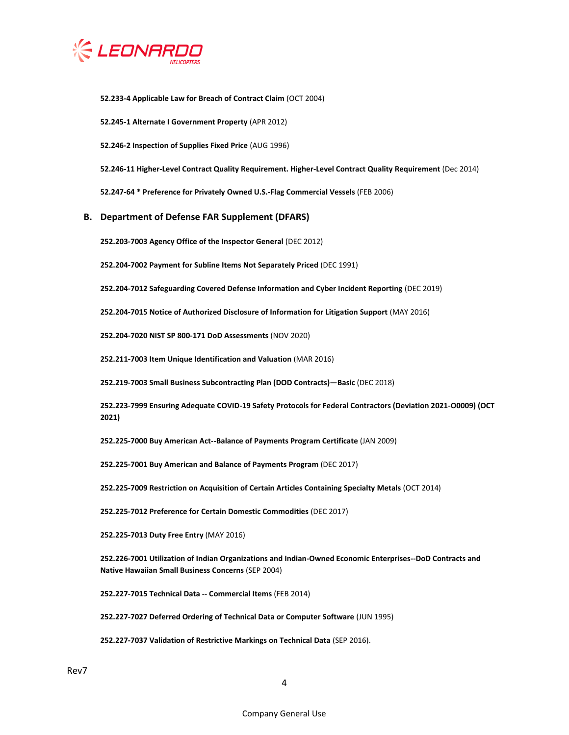

**52.233-4 Applicable Law for Breach of Contract Claim** (OCT 2004)

**52.245-1 Alternate I Government Property** (APR 2012)

**52.246-2 Inspection of Supplies Fixed Price** (AUG 1996)

**52.246-11 Higher-Level Contract Quality Requirement. Higher-Level Contract Quality Requirement** (Dec 2014)

**52.247-64 \* Preference for Privately Owned U.S.-Flag Commercial Vessels** (FEB 2006)

## **B. Department of Defense FAR Supplement (DFARS)**

**252.203-7003 Agency Office of the Inspector General** (DEC 2012)

**252.204-7002 Payment for Subline Items Not Separately Priced** (DEC 1991)

**252.204-7012 Safeguarding Covered Defense Information and Cyber Incident Reporting** (DEC 2019)

**252.204-7015 Notice of Authorized Disclosure of Information for Litigation Support** (MAY 2016)

**252.204-7020 NIST SP 800-171 DoD Assessments** (NOV 2020)

**252.211-7003 Item Unique Identification and Valuation** (MAR 2016)

**252.219-7003 Small Business Subcontracting Plan (DOD Contracts)—Basic** (DEC 2018)

**252.223-7999 Ensuring Adequate COVID-19 Safety Protocols for Federal Contractors (Deviation 2021-O0009) (OCT 2021)**

**252.225-7000 Buy American Act--Balance of Payments Program Certificate** (JAN 2009)

**252.225-7001 Buy American and Balance of Payments Program** (DEC 2017)

**252.225-7009 Restriction on Acquisition of Certain Articles Containing Specialty Metals** (OCT 2014)

**252.225-7012 Preference for Certain Domestic Commodities** (DEC 2017)

**252.225-7013 Duty Free Entry** (MAY 2016)

**252.226-7001 Utilization of Indian Organizations and Indian-Owned Economic Enterprises--DoD Contracts and Native Hawaiian Small Business Concerns** (SEP 2004)

**252.227-7015 Technical Data -- Commercial Items** (FEB 2014)

**252.227-7027 Deferred Ordering of Technical Data or Computer Software** (JUN 1995)

**252.227-7037 Validation of Restrictive Markings on Technical Data** (SEP 2016).